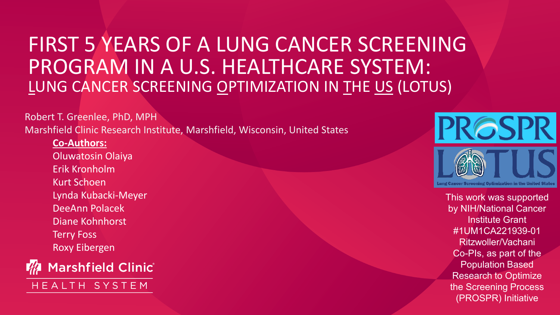## FIRST 5 YEARS OF A LUNG CANCER SCREENING PROGRAM IN A U.S. HEALTHCARE SYSTEM: LUNG CANCER SCREENING OPTIMIZATION IN THE US (LOTUS)

Robert T. Greenlee, PhD, MPH Marshfield Clinic Research Institute, Marshfield, Wisconsin, United States

**Co-Authors:** Oluwatosin Olaiya Erik Kronholm Kurt Schoen Lynda Kubacki-Meyer DeeAnn Polacek Diane Kohnhorst Terry Foss Roxy Eibergen



HEALTH SYSTEM



This work was supported by NIH/National Cancer Institute Grant #1UM1CA221939-01 Ritzwoller/Vachani Co-PIs, as part of the Population Based Research to Optimize the Screening Process (PROSPR) Initiative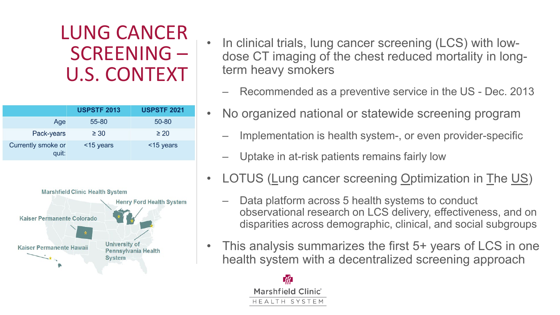# LUNG CANCER SCREENING – U.S. CONTEXT

|                             | <b>USPSTF 2013</b> | <b>USPSTF 2021</b> |
|-----------------------------|--------------------|--------------------|
| Age                         | 55-80              | 50-80              |
| Pack-years                  | $\geq 30$          | $\geq 20$          |
| Currently smoke or<br>quit: | $<$ 15 years       | $<$ 15 years       |



- In clinical trials, lung cancer screening (LCS) with lowdose CT imaging of the chest reduced mortality in longterm heavy smokers
	- Recommended as a preventive service in the US Dec. 2013
- No organized national or statewide screening program
	- Implementation is health system-, or even provider-specific
	- Uptake in at-risk patients remains fairly low
- LOTUS (Lung cancer screening Optimization in The US)
	- Data platform across 5 health systems to conduct observational research on LCS delivery, effectiveness, and on disparities across demographic, clinical, and social subgroups
- This analysis summarizes the first 5+ years of LCS in one health system with a decentralized screening approach

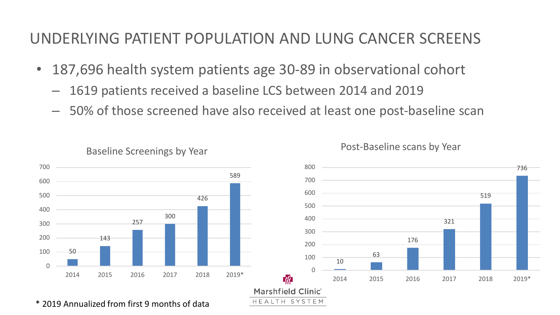#### UNDERLYING PATIENT POPULATION AND LUNG CANCER SCREENS

- 187,696 health system patients age 30-89 in observational cohort
	- 1619 patients received a baseline LCS between 2014 and 2019
	- 50% of those screened have also received at least one post-baseline scan



Baseline Screenings by Year

Post-Baseline scans by Year

\* 2019 Annualized from first 9 months of data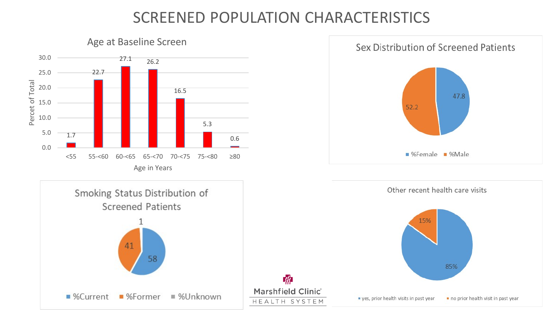#### SCREENED POPULATION CHARACTERISTICS

 $\mathscr{H}$ 





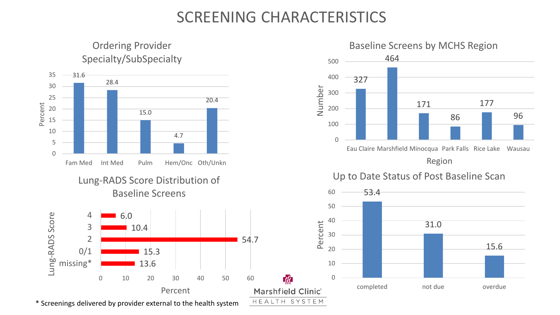#### SCREENING CHARACTERISTICS